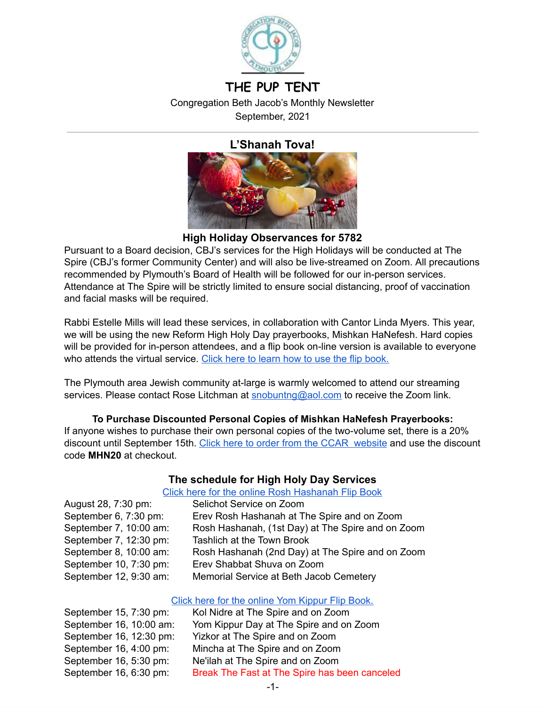

# **THE PUP TENT** Congregation Beth Jacob's Monthly Newsletter

September, 2021

# **L'Shanah Tova!**



**High Holiday Observances for 5782**

Pursuant to a Board decision, CBJ's services for the High Holidays will be conducted at The Spire (CBJ's former Community Center) and will also be live-streamed on Zoom. All precautions recommended by Plymouth's Board of Health will be followed for our in-person services. Attendance at The Spire will be strictly limited to ensure social distancing, proof of vaccination and facial masks will be required.

Rabbi Estelle Mills will lead these services, in collaboration with Cantor Linda Myers. This year, we will be using the new Reform High Holy Day prayerbooks, Mishkan HaNefesh. Hard copies will be provided for in-person attendees, and a flip book on-line version is available to everyone who attends the virtual service. Click here to learn how to use the flip [book.](https://www.ccarnet.org/publications/how-to-use-flip-books/)

The Plymouth area Jewish community at-large is warmly welcomed to attend our streaming services. Please contact Rose Litchman at [snobuntng@aol.com](mailto:snobuntng@aol.com) to receive the Zoom link.

### **To Purchase Discounted Personal Copies of Mishkan HaNefesh Prayerbooks:**

If anyone wishes to purchase their own personal copies of the two-volume set, there is a 20% discount until September 15th. Click here to order from the CCAR [website](https://www.ccarpress.org/shopping_product_detail.asp?pid=50288) and use the discount code **MHN20** at checkout.

# **The schedule for High Holy Day Services**

#### Click here for the online Rosh [Hashanah](https://www.ccarnet.org/publications/hhd-2021/#dflip-df_10067/) Flip Book

| August 28, 7:30 pm:    | Selichot Service on Zoom                          |
|------------------------|---------------------------------------------------|
| September 6, 7:30 pm:  | Erev Rosh Hashanah at The Spire and on Zoom       |
| September 7, 10:00 am: | Rosh Hashanah, (1st Day) at The Spire and on Zoom |
| September 7, 12:30 pm: | <b>Tashlich at the Town Brook</b>                 |
| September 8, 10:00 am: | Rosh Hashanah (2nd Day) at The Spire and on Zoom  |
| September 10, 7:30 pm: | Erev Shabbat Shuva on Zoom                        |
| September 12, 9:30 am: | Memorial Service at Beth Jacob Cemetery           |

### Click here for the online Yom [Kippur](https://www.ccarnet.org/publications/hhd-2021/#dflip-df_10069) Flip Book.

| September 15, 7:30 pm:  | Kol Nidre at The Spire and on Zoom            |
|-------------------------|-----------------------------------------------|
| September 16, 10:00 am: | Yom Kippur Day at The Spire and on Zoom       |
| September 16, 12:30 pm: | Yizkor at The Spire and on Zoom               |
| September 16, 4:00 pm:  | Mincha at The Spire and on Zoom               |
| September 16, 5:30 pm:  | Ne'ilah at The Spire and on Zoom              |
| September 16, 6:30 pm:  | Break The Fast at The Spire has been canceled |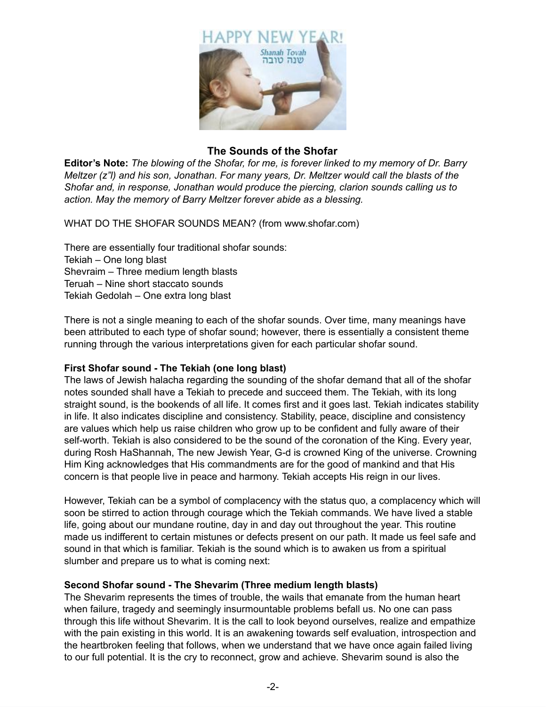

### **The Sounds of the Shofar**

**Editor's Note:** *The blowing of the Shofar, for me, is forever linked to my memory of Dr. Barry Meltzer (z"l) and his son, Jonathan. For many years, Dr. Meltzer would call the blasts of the Shofar and, in response, Jonathan would produce the piercing, clarion sounds calling us to action. May the memory of Barry Meltzer forever abide as a blessing.*

WHAT DO THE SHOFAR SOUNDS MEAN? (from www.shofar.com)

There are essentially four traditional shofar sounds: Tekiah – One long blast Shevraim – Three medium length blasts Teruah – Nine short staccato sounds Tekiah Gedolah – One extra long blast

There is not a single meaning to each of the shofar sounds. Over time, many meanings have been attributed to each type of shofar sound; however, there is essentially a consistent theme running through the various interpretations given for each particular shofar sound.

#### **First Shofar sound - The Tekiah (one long blast)**

The laws of Jewish halacha regarding the sounding of the shofar demand that all of the shofar notes sounded shall have a Tekiah to precede and succeed them. The Tekiah, with its long straight sound, is the bookends of all life. It comes first and it goes last. Tekiah indicates stability in life. It also indicates discipline and consistency. Stability, peace, discipline and consistency are values which help us raise children who grow up to be confident and fully aware of their self-worth. Tekiah is also considered to be the sound of the coronation of the King. Every year, during Rosh HaShannah, The new Jewish Year, G-d is crowned King of the universe. Crowning Him King acknowledges that His commandments are for the good of mankind and that His concern is that people live in peace and harmony. Tekiah accepts His reign in our lives.

However, Tekiah can be a symbol of complacency with the status quo, a complacency which will soon be stirred to action through courage which the Tekiah commands. We have lived a stable life, going about our mundane routine, day in and day out throughout the year. This routine made us indifferent to certain mistunes or defects present on our path. It made us feel safe and sound in that which is familiar. Tekiah is the sound which is to awaken us from a spiritual slumber and prepare us to what is coming next:

#### **Second Shofar sound - The Shevarim (Three medium length blasts)**

The Shevarim represents the times of trouble, the wails that emanate from the human heart when failure, tragedy and seemingly insurmountable problems befall us. No one can pass through this life without Shevarim. It is the call to look beyond ourselves, realize and empathize with the pain existing in this world. It is an awakening towards self evaluation, introspection and the heartbroken feeling that follows, when we understand that we have once again failed living to our full potential. It is the cry to reconnect, grow and achieve. Shevarim sound is also the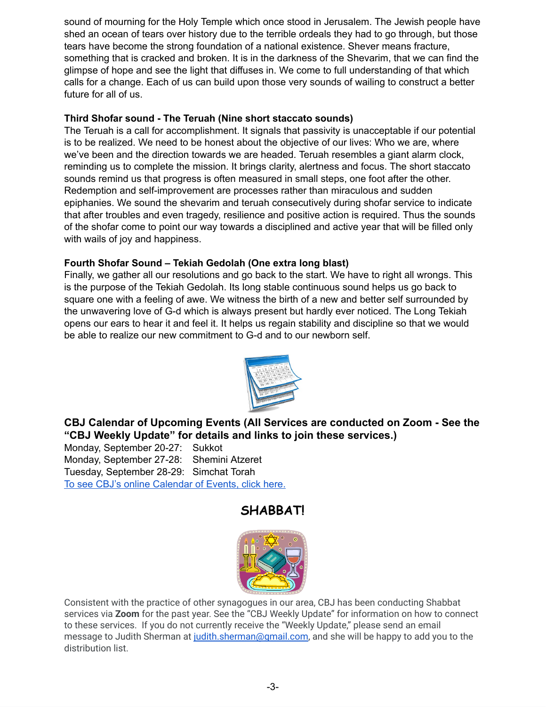sound of mourning for the Holy Temple which once stood in Jerusalem. The Jewish people have shed an ocean of tears over history due to the terrible ordeals they had to go through, but those tears have become the strong foundation of a national existence. Shever means fracture, something that is cracked and broken. It is in the darkness of the Shevarim, that we can find the glimpse of hope and see the light that diffuses in. We come to full understanding of that which calls for a change. Each of us can build upon those very sounds of wailing to construct a better future for all of us.

### **Third Shofar sound - The Teruah (Nine short staccato sounds)**

The Teruah is a call for accomplishment. It signals that passivity is unacceptable if our potential is to be realized. We need to be honest about the objective of our lives: Who we are, where we've been and the direction towards we are headed. Teruah resembles a giant alarm clock, reminding us to complete the mission. It brings clarity, alertness and focus. The short staccato sounds remind us that progress is often measured in small steps, one foot after the other. Redemption and self-improvement are processes rather than miraculous and sudden epiphanies. We sound the shevarim and teruah consecutively during shofar service to indicate that after troubles and even tragedy, resilience and positive action is required. Thus the sounds of the shofar come to point our way towards a disciplined and active year that will be filled only with wails of joy and happiness.

### **Fourth Shofar Sound – Tekiah Gedolah (One extra long blast)**

Finally, we gather all our resolutions and go back to the start. We have to right all wrongs. This is the purpose of the Tekiah Gedolah. Its long stable continuous sound helps us go back to square one with a feeling of awe. We witness the birth of a new and better self surrounded by the unwavering love of G-d which is always present but hardly ever noticed. The Long Tekiah opens our ears to hear it and feel it. It helps us regain stability and discipline so that we would be able to realize our new commitment to G-d and to our newborn self.



**CBJ Calendar of Upcoming Events (All Services are conducted on Zoom - See the "CBJ Weekly Update" for details and links to join these services.)**

Monday, September 20-27: Sukkot Monday, September 27-28: Shemini Atzeret Tuesday, September 28-29: Simchat Torah To see CBJ's online [Calendar](https://www.cbjplymouth.org/calendar/full-calendar) of Events, click here.

# **SHABBAT!**



Consistent with the practice of other synagogues in our area, CBJ has been conducting Shabbat services via **Zoom** for the past year. See the "CBJ Weekly Update" for information on how to connect to these services. If you do not currently receive the "Weekly Update," please send an email message to Judith Sherman at [judith.sherman@gmail.com,](mailto:judith.sherman@gmail.com) and she will be happy to add you to the distribution list.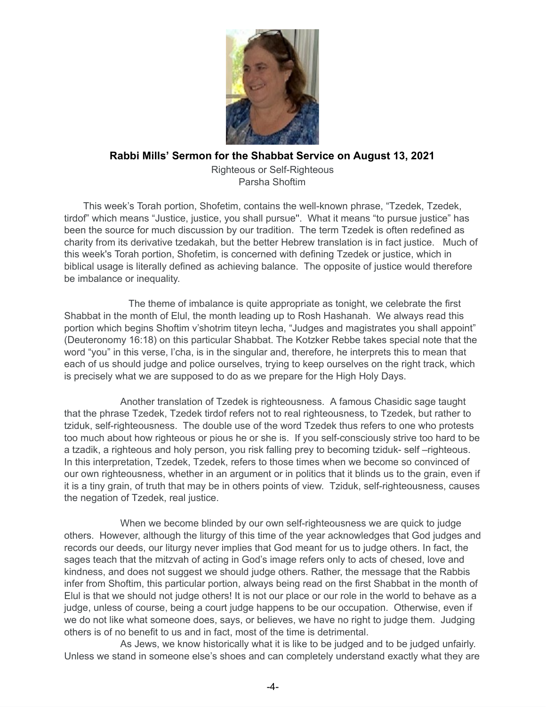

### **Rabbi Mills' Sermon for the Shabbat Service on August 13, 2021**

Righteous or Self-Righteous Parsha Shoftim

This week's Torah portion, Shofetim, contains the well-known phrase, "Tzedek, Tzedek, tirdof" which means "Justice, justice, you shall pursue''. What it means "to pursue justice" has been the source for much discussion by our tradition. The term Tzedek is often redefined as charity from its derivative tzedakah, but the better Hebrew translation is in fact justice. Much of this week's Torah portion, Shofetim, is concerned with defining Tzedek or justice, which in biblical usage is literally defined as achieving balance. The opposite of justice would therefore be imbalance or inequality.

The theme of imbalance is quite appropriate as tonight, we celebrate the first Shabbat in the month of Elul, the month leading up to Rosh Hashanah. We always read this portion which begins Shoftim v'shotrim titeyn lecha, "Judges and magistrates you shall appoint" (Deuteronomy 16:18) on this particular Shabbat. The Kotzker Rebbe takes special note that the word "you" in this verse, l'cha, is in the singular and, therefore, he interprets this to mean that each of us should judge and police ourselves, trying to keep ourselves on the right track, which is precisely what we are supposed to do as we prepare for the High Holy Days.

Another translation of Tzedek is righteousness. A famous Chasidic sage taught that the phrase Tzedek, Tzedek tirdof refers not to real righteousness, to Tzedek, but rather to tziduk, self-righteousness. The double use of the word Tzedek thus refers to one who protests too much about how righteous or pious he or she is. If you self-consciously strive too hard to be a tzadik, a righteous and holy person, you risk falling prey to becoming tziduk- self –righteous. In this interpretation, Tzedek, Tzedek, refers to those times when we become so convinced of our own righteousness, whether in an argument or in politics that it blinds us to the grain, even if it is a tiny grain, of truth that may be in others points of view. Tziduk, self-righteousness, causes the negation of Tzedek, real justice.

When we become blinded by our own self-righteousness we are quick to judge others. However, although the liturgy of this time of the year acknowledges that God judges and records our deeds, our liturgy never implies that God meant for us to judge others. In fact, the sages teach that the mitzvah of acting in God's image refers only to acts of chesed, love and kindness, and does not suggest we should judge others. Rather, the message that the Rabbis infer from Shoftim, this particular portion, always being read on the first Shabbat in the month of Elul is that we should not judge others! It is not our place or our role in the world to behave as a judge, unless of course, being a court judge happens to be our occupation. Otherwise, even if we do not like what someone does, says, or believes, we have no right to judge them. Judging others is of no benefit to us and in fact, most of the time is detrimental.

As Jews, we know historically what it is like to be judged and to be judged unfairly. Unless we stand in someone else's shoes and can completely understand exactly what they are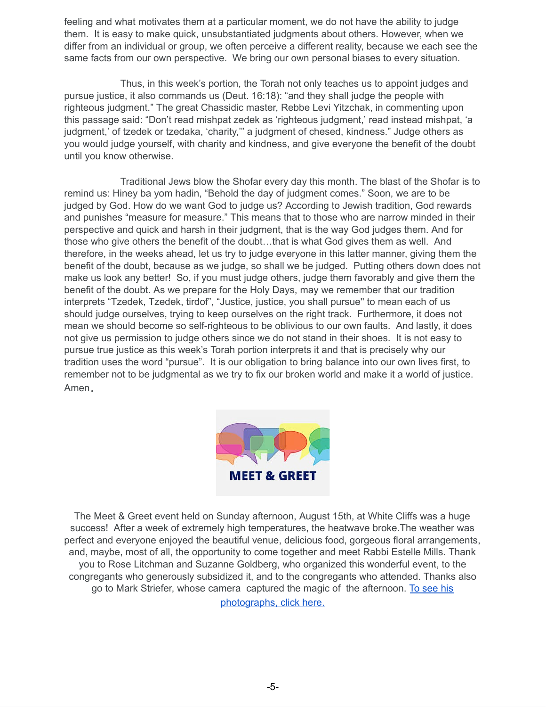feeling and what motivates them at a particular moment, we do not have the ability to judge them. It is easy to make quick, unsubstantiated judgments about others. However, when we differ from an individual or group, we often perceive a different reality, because we each see the same facts from our own perspective. We bring our own personal biases to every situation.

Thus, in this week's portion, the Torah not only teaches us to appoint judges and pursue justice, it also commands us (Deut. 16:18): "and they shall judge the people with righteous judgment." The great Chassidic master, Rebbe Levi Yitzchak, in commenting upon this passage said: "Don't read mishpat zedek as 'righteous judgment,' read instead mishpat, 'a judgment,' of tzedek or tzedaka, 'charity,'" a judgment of chesed, kindness." Judge others as you would judge yourself, with charity and kindness, and give everyone the benefit of the doubt until you know otherwise.

Traditional Jews blow the Shofar every day this month. The blast of the Shofar is to remind us: Hiney ba yom hadin, "Behold the day of judgment comes." Soon, we are to be judged by God. How do we want God to judge us? According to Jewish tradition, God rewards and punishes "measure for measure." This means that to those who are narrow minded in their perspective and quick and harsh in their judgment, that is the way God judges them. And for those who give others the benefit of the doubt…that is what God gives them as well. And therefore, in the weeks ahead, let us try to judge everyone in this latter manner, giving them the benefit of the doubt, because as we judge, so shall we be judged. Putting others down does not make us look any better! So, if you must judge others, judge them favorably and give them the benefit of the doubt. As we prepare for the Holy Days, may we remember that our tradition interprets "Tzedek, Tzedek, tirdof", "Justice, justice, you shall pursue'' to mean each of us should judge ourselves, trying to keep ourselves on the right track. Furthermore, it does not mean we should become so self-righteous to be oblivious to our own faults. And lastly, it does not give us permission to judge others since we do not stand in their shoes. It is not easy to pursue true justice as this week's Torah portion interprets it and that is precisely why our tradition uses the word "pursue". It is our obligation to bring balance into our own lives first, to remember not to be judgmental as we try to fix our broken world and make it a world of justice. Amen**.**



The Meet & Greet event held on Sunday afternoon, August 15th, at White Cliffs was a huge success! After a week of extremely high temperatures, the heatwave broke.The weather was perfect and everyone enjoyed the beautiful venue, delicious food, gorgeous floral arrangements, and, maybe, most of all, the opportunity to come together and meet Rabbi Estelle Mills. Thank you to Rose Litchman and Suzanne Goldberg, who organized this wonderful event, to the congregants who generously subsidized it, and to the congregants who attended. Thanks also go to Mark Striefer, whose camera captured the magic of the [afternoo](https://photos.google.com/share/AF1QipPMip-h35ujh71w7Mb72Gm5aZK8FtQyGCSaKUdx-treCJ_koCOJGSxiy9jrc9LL8g?key=VDJmazI5dVE5SXh5aGR4eG11VGtpRjFxdmdXSFJR)n. To [see](https://photos.google.com/share/AF1QipPMip-h35ujh71w7Mb72Gm5aZK8FtQyGCSaKUdx-treCJ_koCOJGSxiy9jrc9LL8g?key=VDJmazI5dVE5SXh5aGR4eG11VGtpRjFxdmdXSFJR) his [photographs,](https://photos.google.com/share/AF1QipPMip-h35ujh71w7Mb72Gm5aZK8FtQyGCSaKUdx-treCJ_koCOJGSxiy9jrc9LL8g?key=VDJmazI5dVE5SXh5aGR4eG11VGtpRjFxdmdXSFJR) click here.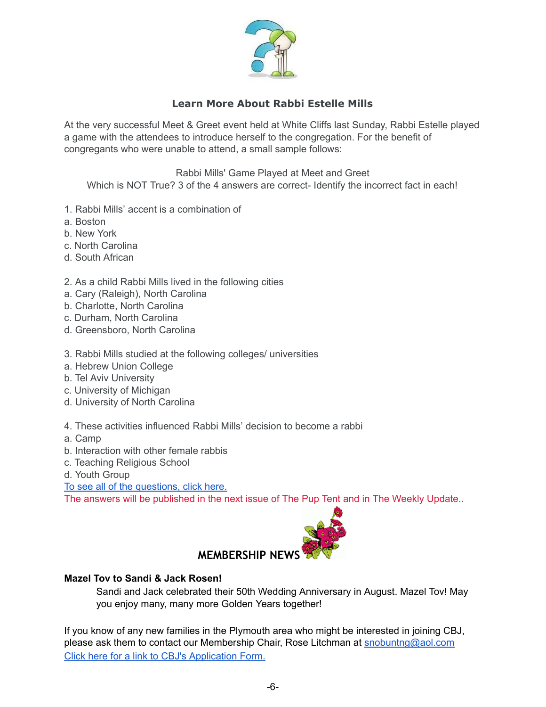

# **Learn More About Rabbi Estelle Mills**

At the very successful Meet & Greet event held at White Cliffs last Sunday, Rabbi Estelle played a game with the attendees to introduce herself to the congregation. For the benefit of congregants who were unable to attend, a small sample follows:

Rabbi Mills' Game Played at Meet and Greet Which is NOT True? 3 of the 4 answers are correct- Identify the incorrect fact in each!

- 1. Rabbi Mills' accent is a combination of
- a. Boston
- b. New York
- c. North Carolina
- d. South African
- 2. As a child Rabbi Mills lived in the following cities
- a. Cary (Raleigh), North Carolina
- b. Charlotte, North Carolina
- c. Durham, North Carolina
- d. Greensboro, North Carolina
- 3. Rabbi Mills studied at the following colleges/ universities
- a. Hebrew Union College
- b. Tel Aviv University
- c. University of Michigan
- d. University of North Carolina
- 4. These activities influenced Rabbi Mills' decision to become a rabbi
- a. Camp
- b. Interaction with other female rabbis
- c. Teaching Religious School
- d. Youth Group

To see all of the [questions,](https://drive.google.com/file/d/15ta5hoMOnGa85ZuJvk9U0o7CKyKeFWBi/view?usp=sharing) click here.

The answers will be published in the next issue of The Pup Tent and in The Weekly Update..



#### **Mazel Tov to Sandi & Jack Rosen!**

Sandi and Jack celebrated their 50th Wedding Anniversary in August. Mazel Tov! May you enjoy many, many more Golden Years together!

If you know of any new families in the Plymouth area who might be interested in joining CBJ, please ask them to contact our Membership Chair, Rose Litchman at [snobuntng@aol.com](mailto:snobuntng@aol.com) Click here for a link to CBJ's [Application](https://www.cbjplymouth.org/join/membership-form) Form[.](http://cbjplymouth.org/pdf/CBJ_Membership_form.pdf)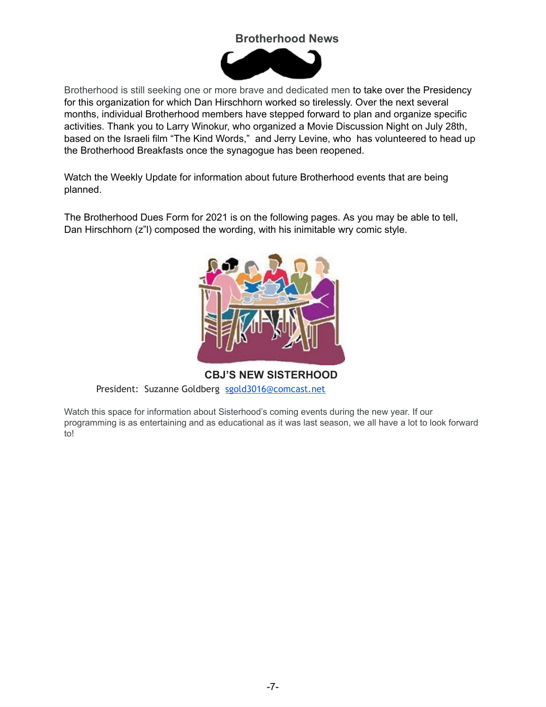# **Brotherhood News**



Brotherhood is still seeking one or more brave and dedicated men to take over the Presidency for this organization for which Dan Hirschhorn worked so tirelessly. Over the next several months, individual Brotherhood members have stepped forward to plan and organize specific activities. Thank you to Larry Winokur, who organized a Movie Discussion Night on July 28th, based on the Israeli film "The Kind Words," and Jerry Levine, who has volunteered to head up the Brotherhood Breakfasts once the synagogue has been reopened.

Watch the Weekly Update for information about future Brotherhood events that are being planned.

The Brotherhood Dues Form for 2021 is on the following pages. As you may be able to tell, Dan Hirschhorn (z"l) composed the wording, with his inimitable wry comic style.



**CBJ'S NEW SISTERHOOD** President: Suzanne Goldberg [sgold3016@comcast.net](mailto:sgold3016@comcast.net)

Watch this space for information about Sisterhood's coming events during the new year. If our programming is as entertaining and as educational as it was last season, we all have a lot to look forward to!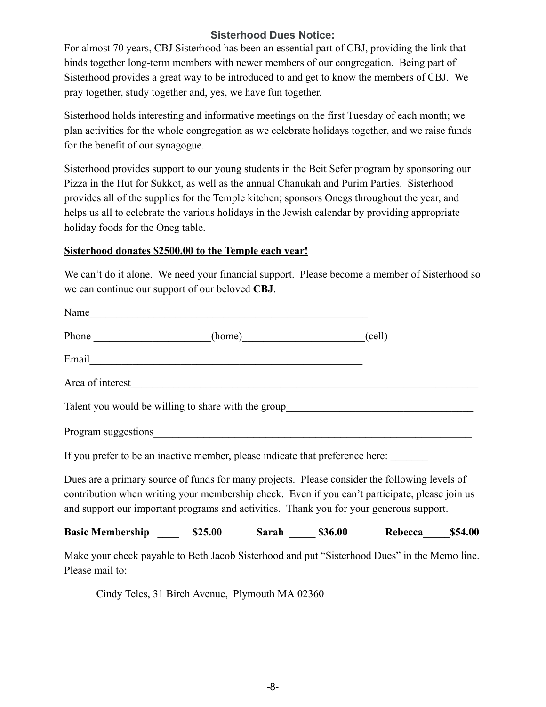### **Sisterhood Dues Notice:**

For almost 70 years, CBJ Sisterhood has been an essential part of CBJ, providing the link that binds together long-term members with newer members of our congregation. Being part of Sisterhood provides a great way to be introduced to and get to know the members of CBJ. We pray together, study together and, yes, we have fun together.

Sisterhood holds interesting and informative meetings on the first Tuesday of each month; we plan activities for the whole congregation as we celebrate holidays together, and we raise funds for the benefit of our synagogue.

Sisterhood provides support to our young students in the Beit Sefer program by sponsoring our Pizza in the Hut for Sukkot, as well as the annual Chanukah and Purim Parties. Sisterhood provides all of the supplies for the Temple kitchen; sponsors Onegs throughout the year, and helps us all to celebrate the various holidays in the Jewish calendar by providing appropriate holiday foods for the Oneg table.

#### **Sisterhood donates \$2500.00 to the Temple each year!**

We can't do it alone. We need your financial support. Please become a member of Sisterhood so we can continue our support of our beloved **CBJ**.

| Name                                                                                                                                                                                                                                                                                       |  |  |  |
|--------------------------------------------------------------------------------------------------------------------------------------------------------------------------------------------------------------------------------------------------------------------------------------------|--|--|--|
| Phone (home) (cell)                                                                                                                                                                                                                                                                        |  |  |  |
|                                                                                                                                                                                                                                                                                            |  |  |  |
|                                                                                                                                                                                                                                                                                            |  |  |  |
| Talent you would be willing to share with the group______________________________                                                                                                                                                                                                          |  |  |  |
|                                                                                                                                                                                                                                                                                            |  |  |  |
| If you prefer to be an inactive member, please indicate that preference here:                                                                                                                                                                                                              |  |  |  |
| Dues are a primary source of funds for many projects. Please consider the following levels of<br>contribution when writing your membership check. Even if you can't participate, please join us<br>and support our important programs and activities. Thank you for your generous support. |  |  |  |
| Basic Membership ________ \$25.00 Sarah _______ \$36.00 Rebecca _____ \$54.00                                                                                                                                                                                                              |  |  |  |
| Make your check payable to Beth Jacob Sisterhood and put "Sisterhood Dues" in the Memo line.<br>Please mail to:                                                                                                                                                                            |  |  |  |

Cindy Teles, 31 Birch Avenue, Plymouth MA 02360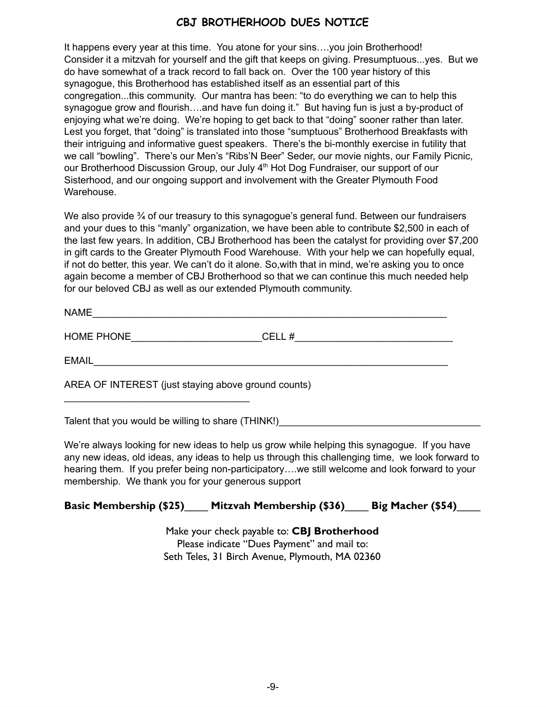# **CBJ BROTHERHOOD DUES NOTICE**

It happens every year at this time. You atone for your sins….you join Brotherhood! Consider it a mitzvah for yourself and the gift that keeps on giving. Presumptuous...yes. But we do have somewhat of a track record to fall back on. Over the 100 year history of this synagogue, this Brotherhood has established itself as an essential part of this congregation...this community. Our mantra has been: "to do everything we can to help this synagogue grow and flourish….and have fun doing it." But having fun is just a by-product of enjoying what we're doing. We're hoping to get back to that "doing" sooner rather than later. Lest you forget, that "doing" is translated into those "sumptuous" Brotherhood Breakfasts with their intriguing and informative guest speakers. There's the bi-monthly exercise in futility that we call "bowling". There's our Men's "Ribs'N Beer" Seder, our movie nights, our Family Picnic, our Brotherhood Discussion Group, our July 4<sup>th</sup> Hot Dog Fundraiser, our support of our Sisterhood, and our ongoing support and involvement with the Greater Plymouth Food Warehouse.

We also provide  $\frac{3}{4}$  of our treasury to this synagogue's general fund. Between our fundraisers and your dues to this "manly" organization, we have been able to contribute \$2,500 in each of the last few years. In addition, CBJ Brotherhood has been the catalyst for providing over \$7,200 in gift cards to the Greater Plymouth Food Warehouse. With your help we can hopefully equal, if not do better, this year. We can't do it alone. So,with that in mind, we're asking you to once again become a member of CBJ Brotherhood so that we can continue this much needed help for our beloved CBJ as well as our extended Plymouth community.

| - - -<br><b>NIAME</b> |  |  |  |  |
|-----------------------|--|--|--|--|
|                       |  |  |  |  |

HOME PHONE\_\_\_\_\_\_\_\_\_\_\_\_\_\_\_\_\_\_\_\_\_\_\_\_CELL #\_\_\_\_\_\_\_\_\_\_\_\_\_\_\_\_\_\_\_\_\_\_\_\_\_\_\_\_\_

EMAIL\_\_\_\_\_\_\_\_\_\_\_\_\_\_\_\_\_\_\_\_\_\_\_\_\_\_\_\_\_\_\_\_\_\_\_\_\_\_\_\_\_\_\_\_\_\_\_\_\_\_\_\_\_\_\_\_\_\_\_\_\_\_\_\_\_

AREA OF INTEREST (just staying above ground counts)

Talent that you would be willing to share (THINK!)

 $\mathcal{L}_\text{max}$  , where  $\mathcal{L}_\text{max}$  is the set of the set of the set of the set of the set of the set of the set of the set of the set of the set of the set of the set of the set of the set of the set of the set of the se

We're always looking for new ideas to help us grow while helping this synagogue. If you have any new ideas, old ideas, any ideas to help us through this challenging time, we look forward to hearing them. If you prefer being non-participatory….we still welcome and look forward to your membership. We thank you for your generous support

# **Basic Membership (\$25)**\_\_\_\_ **Mitzvah Membership (\$36)**\_\_\_\_ **Big Macher (\$54)**\_\_\_\_

Make your check payable to: **CBJ Brotherhood** Please indicate "Dues Payment" and mail to: Seth Teles, 31 Birch Avenue, Plymouth, MA 02360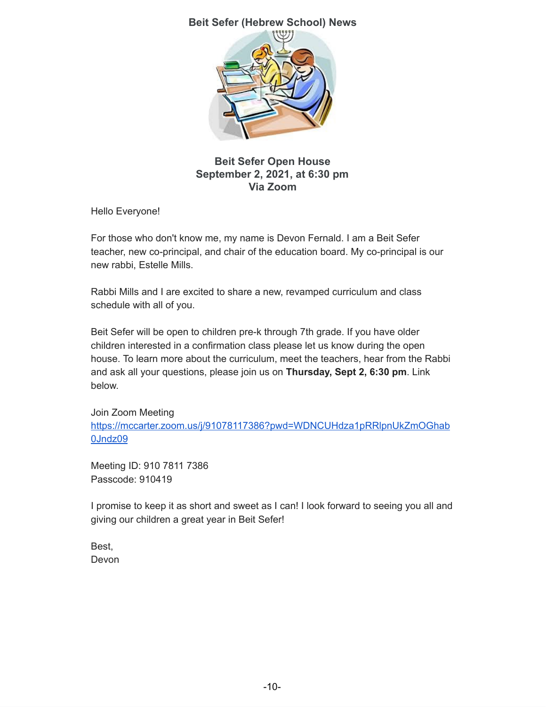### **Beit Sefer (Hebrew School) News**



### **Beit Sefer Open House September 2, 2021, at 6:30 pm Via Zoom**

Hello Everyone!

For those who don't know me, my name is Devon Fernald. I am a Beit Sefer teacher, new co-principal, and chair of the education board. My co-principal is our new rabbi, Estelle Mills.

Rabbi Mills and I are excited to share a new, revamped curriculum and class schedule with all of you.

Beit Sefer will be open to children pre-k through 7th grade. If you have older children interested in a confirmation class please let us know during the open house. To learn more about the curriculum, meet the teachers, hear from the Rabbi and ask all your questions, please join us on **Thursday, Sept 2, 6:30 pm**. Link below.

Join Zoom Meeting [https://mccarter.zoom.us/j/91078117386?pwd=WDNCUHdza1pRRlpnUkZmOGhab](https://mccarter.zoom.us/j/91078117386?pwd=WDNCUHdza1pRRlpnUkZmOGhab0Jndz09) [0Jndz09](https://mccarter.zoom.us/j/91078117386?pwd=WDNCUHdza1pRRlpnUkZmOGhab0Jndz09)

Meeting ID: 910 7811 7386 Passcode: 910419

I promise to keep it as short and sweet as I can! I look forward to seeing you all and giving our children a great year in Beit Sefer!

Best, Devon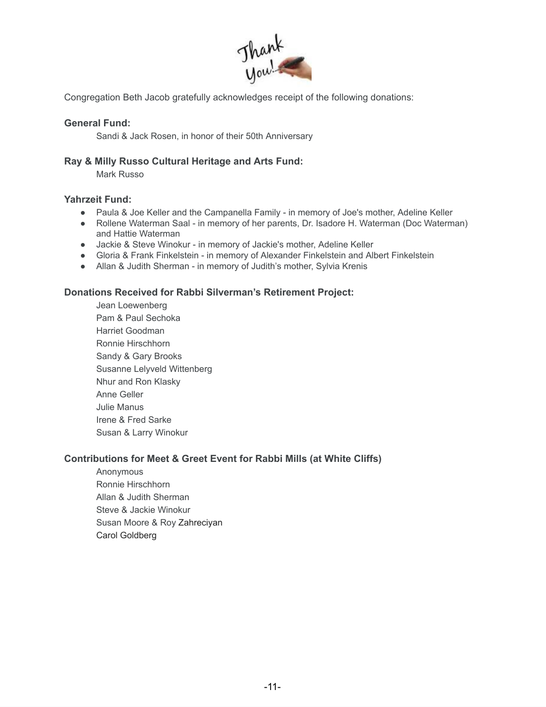

Congregation Beth Jacob gratefully acknowledges receipt of the following donations:

#### **General Fund:**

Sandi & Jack Rosen, in honor of their 50th Anniversary

#### **Ray & Milly Russo Cultural Heritage and Arts Fund:**

Mark Russo

#### **Yahrzeit Fund:**

- Paula & Joe Keller and the Campanella Family in memory of Joe's mother, Adeline Keller
- Rollene Waterman Saal in memory of her parents, Dr. Isadore H. Waterman (Doc Waterman) and Hattie Waterman
- Jackie & Steve Winokur in memory of Jackie's mother, Adeline Keller
- Gloria & Frank Finkelstein in memory of Alexander Finkelstein and Albert Finkelstein
- Allan & Judith Sherman in memory of Judith's mother, Sylvia Krenis

#### **Donations Received for Rabbi Silverman's Retirement Project:**

Jean Loewenberg Pam & Paul Sechoka Harriet Goodman Ronnie Hirschhorn Sandy & Gary Brooks Susanne Lelyveld Wittenberg Nhur and Ron Klasky Anne Geller Julie Manus Irene & Fred Sarke Susan & Larry Winokur

#### **Contributions for Meet & Greet Event for Rabbi Mills (at White Cliffs)**

Anonymous Ronnie Hirschhorn Allan & Judith Sherman Steve & Jackie Winokur Susan Moore & Roy Zahreciyan Carol Goldberg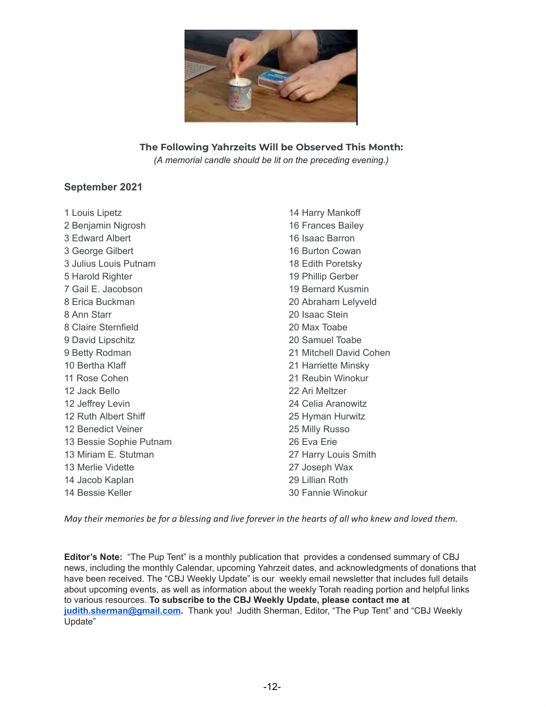

# **The Following Yahrzeits Will be Observed This Month:**

*(A memorial candle should be lit on the preceding evening.)*

### **September 2021**

 Louis Lipetz Benjamin Nigrosh Edward Albert George Gilbert Julius Louis Putnam Harold Righter Gail E. Jacobson Erica Buckman Ann Starr Claire Sternfield David Lipschitz Betty Rodman Bertha Klaff Rose Cohen Jack Bello Jeffrey Levin Ruth Albert Shiff Benedict Veiner Bessie Sophie Putnam Miriam E. Stutman Merlie Vidette Jacob Kaplan Bessie Keller Harry Mankoff Frances Bailey Isaac Barron Burton Cowan Edith Poretsky Phillip Gerber Bernard Kusmin Abraham Lelyveld Isaac Stein Max Toabe Samuel Toabe Mitchell David Cohen Harriette Minsky Reubin Winokur Ari Meltzer Celia Aranowitz Hyman Hurwitz Milly Russo Eva Erie Harry Louis Smith Joseph Wax Lillian Roth Fannie Winokur

May their memories be for a blessing and live forever in the hearts of all who knew and loved them.

**Editor's Note:** "The Pup Tent" is a monthly publication that provides a condensed summary of CBJ news, including the monthly Calendar, upcoming Yahrzeit dates, and acknowledgments of donations that have been received. The "CBJ Weekly Update" is our weekly email newsletter that includes full details about upcoming events, as well as information about the weekly Torah reading portion and helpful links to various resources. **To subscribe to the CBJ Weekly Update, please contact me at [judith.sherman@gmail.com](mailto:judith.sherman@gmail.com).** Thank you! Judith Sherman, Editor, "The Pup Tent" and "CBJ Weekly Update"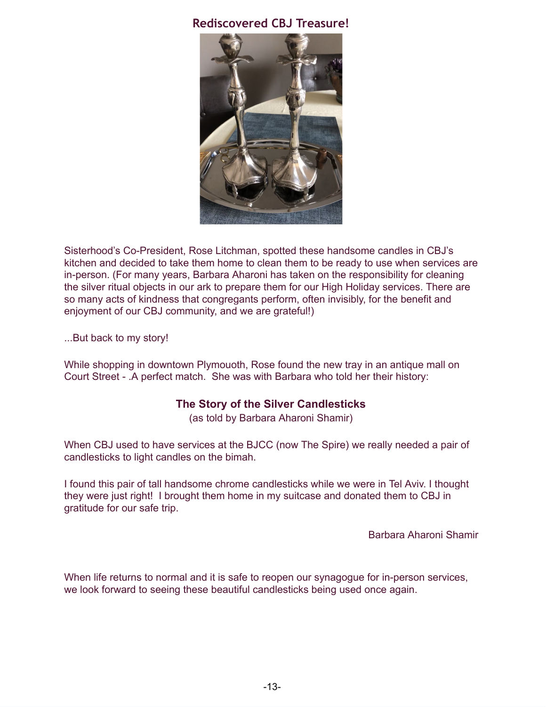# **Rediscovered CBJ Treasure!**



Sisterhood's Co-President, Rose Litchman, spotted these handsome candles in CBJ's kitchen and decided to take them home to clean them to be ready to use when services are in-person. (For many years, Barbara Aharoni has taken on the responsibility for cleaning the silver ritual objects in our ark to prepare them for our High Holiday services. There are so many acts of kindness that congregants perform, often invisibly, for the benefit and enjoyment of our CBJ community, and we are grateful!)

...But back to my story!

While shopping in downtown Plymouoth, Rose found the new tray in an antique mall on Court Street - .A perfect match. She was with Barbara who told her their history:

# **The Story of the Silver Candlesticks**

(as told by Barbara Aharoni Shamir)

When CBJ used to have services at the BJCC (now The Spire) we really needed a pair of candlesticks to light candles on the bimah.

I found this pair of tall handsome chrome candlesticks while we were in Tel Aviv. I thought they were just right! I brought them home in my suitcase and donated them to CBJ in gratitude for our safe trip.

Barbara Aharoni Shamir

When life returns to normal and it is safe to reopen our synagogue for in-person services, we look forward to seeing these beautiful candlesticks being used once again.